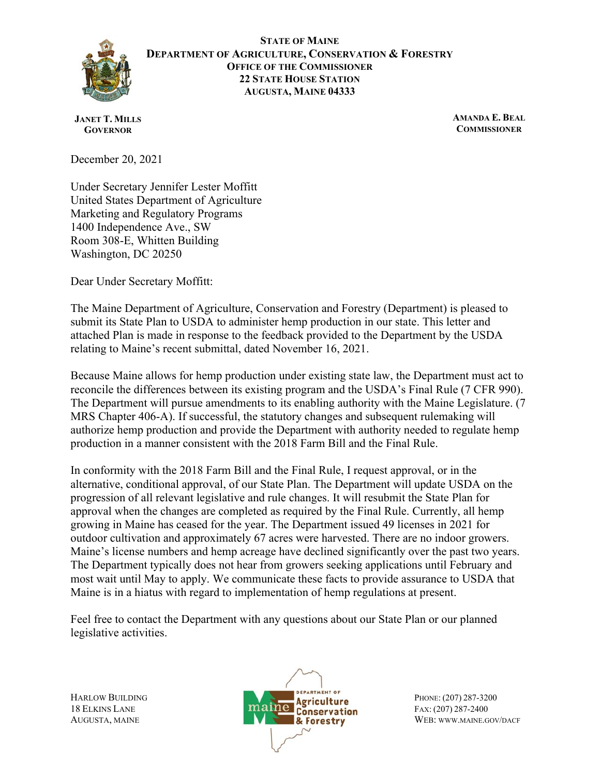

**STATE OF MAINE DEPARTMENT OF AGRICULTURE, CONSERVATION & FORESTRY OFFICE OF THE COMMISSIONER 22 STATE HOUSE STATION AUGUSTA, MAINE 04333**

**JANET T. MILLS GOVERNOR**

**AMANDA E. BEAL COMMISSIONER**

December 20, 2021

Under Secretary Jennifer Lester Moffitt United States Department of Agriculture Marketing and Regulatory Programs 1400 Independence Ave., SW Room 308-E, Whitten Building Washington, DC 20250

Dear Under Secretary Moffitt:

The Maine Department of Agriculture, Conservation and Forestry (Department) is pleased to submit its State Plan to USDA to administer hemp production in our state. This letter and attached Plan is made in response to the feedback provided to the Department by the USDA relating to Maine's recent submittal, dated November 16, 2021.

Because Maine allows for hemp production under existing state law, the Department must act to reconcile the differences between its existing program and the USDA's Final Rule (7 CFR 990). The Department will pursue amendments to its enabling authority with the Maine Legislature. (7 MRS Chapter 406-A). If successful, the statutory changes and subsequent rulemaking will authorize hemp production and provide the Department with authority needed to regulate hemp production in a manner consistent with the 2018 Farm Bill and the Final Rule.

In conformity with the 2018 Farm Bill and the Final Rule, I request approval, or in the alternative, conditional approval, of our State Plan. The Department will update USDA on the progression of all relevant legislative and rule changes. It will resubmit the State Plan for approval when the changes are completed as required by the Final Rule. Currently, all hemp growing in Maine has ceased for the year. The Department issued 49 licenses in 2021 for outdoor cultivation and approximately 67 acres were harvested. There are no indoor growers. Maine's license numbers and hemp acreage have declined significantly over the past two years. The Department typically does not hear from growers seeking applications until February and most wait until May to apply. We communicate these facts to provide assurance to USDA that Maine is in a hiatus with regard to implementation of hemp regulations at present.

Feel free to contact the Department with any questions about our State Plan or our planned legislative activities.

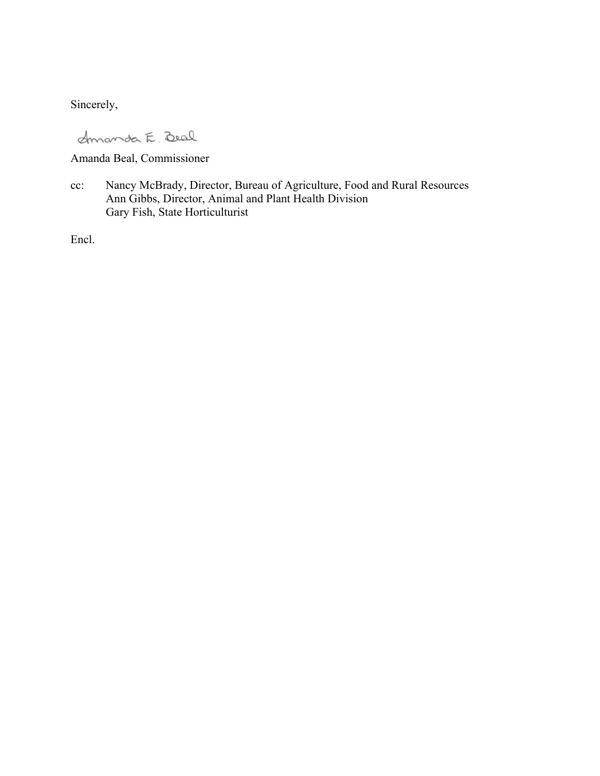Sincerely,

dmanda E. Beal

Amanda Beal, Commissioner

cc: Nancy McBrady, Director, Bureau of Agriculture, Food and Rural Resources Ann Gibbs, Director, Animal and Plant Health Division Gary Fish, State Horticulturist

Encl.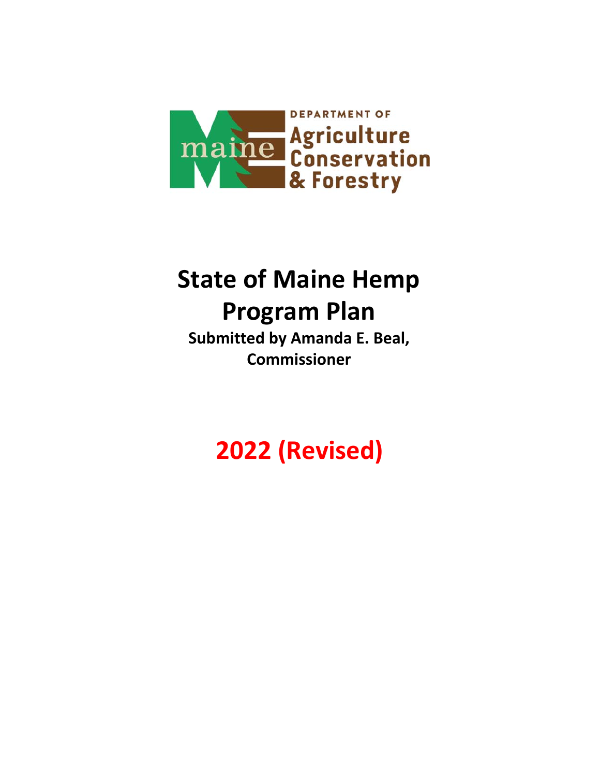

# **State of Maine Hemp Program Plan**

**Submitted by Amanda E. Beal, Commissioner** 

**2022 (Revised)**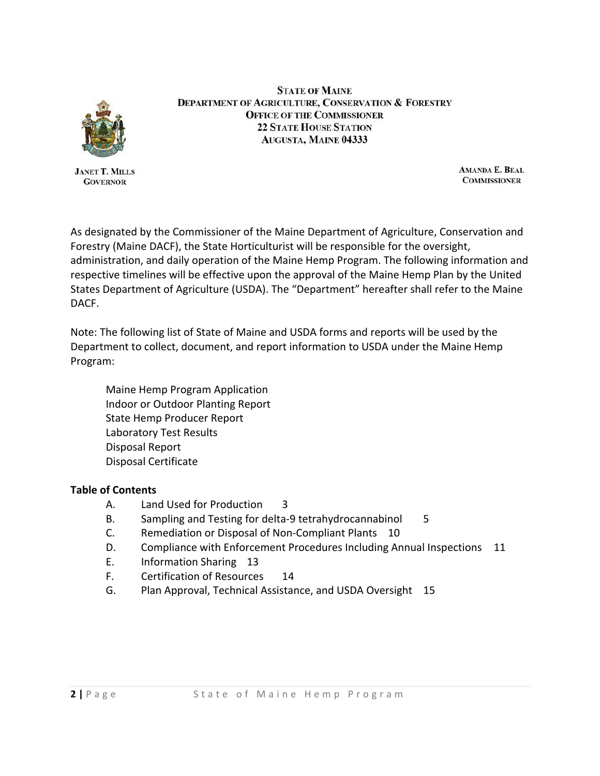

**JANET T. MILLS GOVERNOR** 

**STATE OF MAINE DEPARTMENT OF AGRICULTURE, CONSERVATION & FORESTRY OFFICE OF THE COMMISSIONER 22 STATE HOUSE STATION AUGUSTA, MAINE 04333** 

> AMANDA E. BEAL **COMMISSIONER**

As designated by the Commissioner of the Maine Department of Agriculture, Conservation and Forestry (Maine DACF), the State Horticulturist will be responsible for the oversight, administration, and daily operation of the Maine Hemp Program. The following information and respective timelines will be effective upon the approval of the Maine Hemp Plan by the United States Department of Agriculture (USDA). The "Department" hereafter shall refer to the Maine DACF.

Note: The following list of State of Maine and USDA forms and reports will be used by the Department to collect, document, and report information to USDA under the Maine Hemp Program:

Maine Hemp Program Application Indoor or Outdoor Planting Report State Hemp Producer Report Laboratory Test Results Disposal Report Disposal Certificate

#### **Table of Contents**

- A. Land Used for Production 3
- 5 B. Sampling and Testing for delta-9 tetrahydrocannabinol
- C. Remediation or Disposal of Non‐Compliant Plants 10
- D. Compliance with Enforcement Procedures Including Annual Inspections 11
- E. Information Sharing 13
- F. Certification of Resources 14
- G. Plan Approval, Technical Assistance, and USDA Oversight 15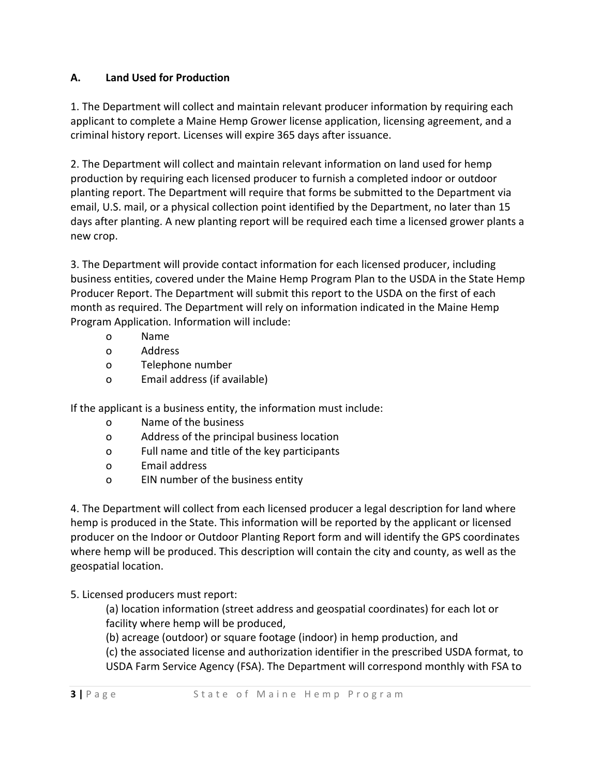## **A. Land Used for Production**

1. The Department will collect and maintain relevant producer information by requiring each applicant to complete a Maine Hemp Grower license application, licensing agreement, and a criminal history report. Licenses will expire 365 days after issuance.

2. The Department will collect and maintain relevant information on land used for hemp production by requiring each licensed producer to furnish a completed indoor or outdoor planting report. The Department will require that forms be submitted to the Department via email, U.S. mail, or a physical collection point identified by the Department, no later than 15 days after planting. A new planting report will be required each time a licensed grower plants a new crop.

 month as required. The Department will rely on information indicated in the Maine Hemp 3. The Department will provide contact information for each licensed producer, including business entities, covered under the Maine Hemp Program Plan to the USDA in the State Hemp Producer Report. The Department will submit this report to the USDA on the first of each Program Application. Information will include:

- o Name
- o Address
- o Telephone number
- o Email address (if available)

If the applicant is a business entity, the information must include:

- o Name of the business
- o Address of the principal business location
- o Full name and title of the key participants
- o Email address
- o EIN number of the business entity

4. The Department will collect from each licensed producer a legal description for land where hemp is produced in the State. This information will be reported by the applicant or licensed producer on the Indoor or Outdoor Planting Report form and will identify the GPS coordinates where hemp will be produced. This description will contain the city and county, as well as the geospatial location.

# 5. Licensed producers must report:

(a) location information (street address and geospatial coordinates) for each lot or facility where hemp will be produced,

(b) acreage (outdoor) or square footage (indoor) in hemp production, and

(c) the associated license and authorization identifier in the prescribed USDA format, to USDA Farm Service Agency (FSA). The Department will correspond monthly with FSA to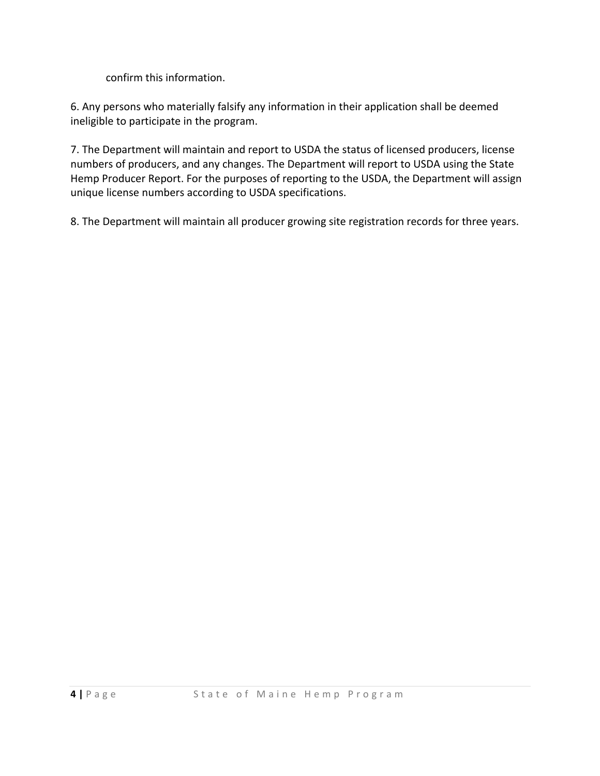confirm this information.

6. Any persons who materially falsify any information in their application shall be deemed ineligible to participate in the program.

7. The Department will maintain and report to USDA the status of licensed producers, license numbers of producers, and any changes. The Department will report to USDA using the State Hemp Producer Report. For the purposes of reporting to the USDA, the Department will assign unique license numbers according to USDA specifications.

8. The Department will maintain all producer growing site registration records for three years.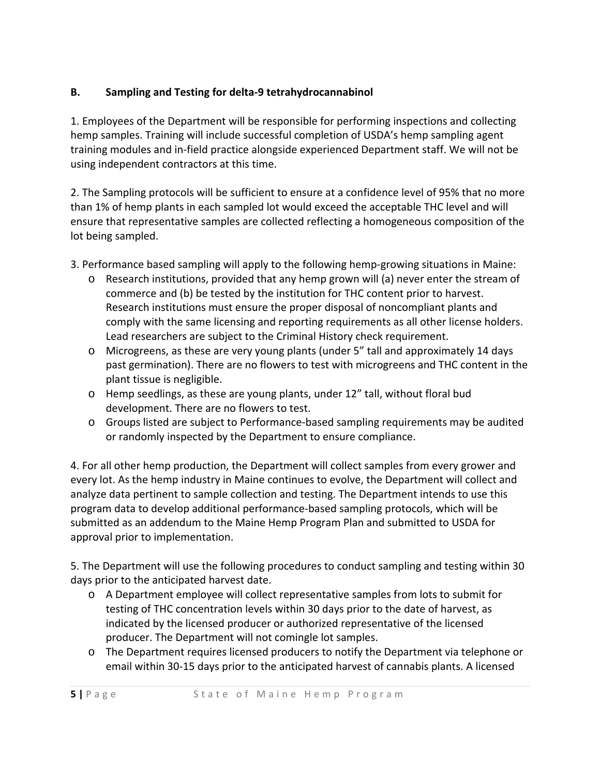## **B. Sampling and Testing for delta‐9 tetrahydrocannabinol**

1. Employees of the Department will be responsible for performing inspections and collecting hemp samples. Training will include successful completion of USDA's hemp sampling agent training modules and in‐field practice alongside experienced Department staff. We will not be using independent contractors at this time.

2. The Sampling protocols will be sufficient to ensure at a confidence level of 95% that no more than 1% of hemp plants in each sampled lot would exceed the acceptable THC level and will ensure that representative samples are collected reflecting a homogeneous composition of the lot being sampled.

- 3. Performance based sampling will apply to the following hemp-growing situations in Maine:
	- o Research institutions, provided that any hemp grown will (a) never enter the stream of commerce and (b) be tested by the institution for THC content prior to harvest. Research institutions must ensure the proper disposal of noncompliant plants and comply with the same licensing and reporting requirements as all other license holders. Lead researchers are subject to the Criminal History check requirement.
	- o Microgreens, as these are very young plants (under 5" tall and approximately 14 days past germination). There are no flowers to test with microgreens and THC content in the plant tissue is negligible.
	- o Hemp seedlings, as these are young plants, under 12" tall, without floral bud development. There are no flowers to test.
	- o Groups listed are subject to Performance‐based sampling requirements may be audited or randomly inspected by the Department to ensure compliance.

4. For all other hemp production, the Department will collect samples from every grower and every lot. As the hemp industry in Maine continues to evolve, the Department will collect and analyze data pertinent to sample collection and testing. The Department intends to use this program data to develop additional performance‐based sampling protocols, which will be submitted as an addendum to the Maine Hemp Program Plan and submitted to USDA for approval prior to implementation.

5. The Department will use the following procedures to conduct sampling and testing within 30 days prior to the anticipated harvest date.

- o A Department employee will collect representative samples from lots to submit for testing of THC concentration levels within 30 days prior to the date of harvest, as indicated by the licensed producer or authorized representative of the licensed producer. The Department will not comingle lot samples.
- o The Department requires licensed producers to notify the Department via telephone or email within 30‐15 days prior to the anticipated harvest of cannabis plants. A licensed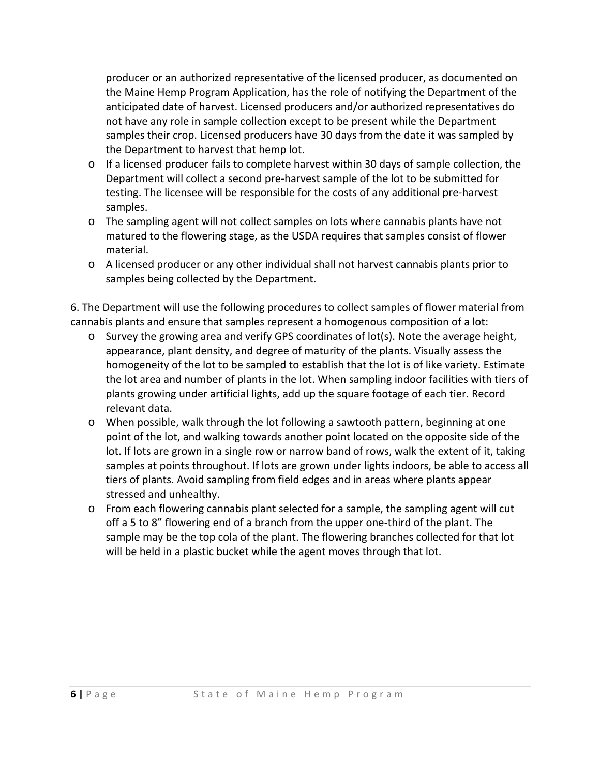producer or an authorized representative of the licensed producer, as documented on the Maine Hemp Program Application, has the role of notifying the Department of the anticipated date of harvest. Licensed producers and/or authorized representatives do not have any role in sample collection except to be present while the Department samples their crop. Licensed producers have 30 days from the date it was sampled by the Department to harvest that hemp lot.

- o If a licensed producer fails to complete harvest within 30 days of sample collection, the Department will collect a second pre‐harvest sample of the lot to be submitted for testing. The licensee will be responsible for the costs of any additional pre‐harvest samples.
- o The sampling agent will not collect samples on lots where cannabis plants have not matured to the flowering stage, as the USDA requires that samples consist of flower material.
- o A licensed producer or any other individual shall not harvest cannabis plants prior to samples being collected by the Department.

6. The Department will use the following procedures to collect samples of flower material from cannabis plants and ensure that samples represent a homogenous composition of a lot:

- o Survey the growing area and verify GPS coordinates of lot(s). Note the average height, appearance, plant density, and degree of maturity of the plants. Visually assess the homogeneity of the lot to be sampled to establish that the lot is of like variety. Estimate the lot area and number of plants in the lot. When sampling indoor facilities with tiers of plants growing under artificial lights, add up the square footage of each tier. Record relevant data.
- o When possible, walk through the lot following a sawtooth pattern, beginning at one point of the lot, and walking towards another point located on the opposite side of the lot. If lots are grown in a single row or narrow band of rows, walk the extent of it, taking samples at points throughout. If lots are grown under lights indoors, be able to access all tiers of plants. Avoid sampling from field edges and in areas where plants appear stressed and unhealthy.
- $\circ$  From each flowering cannabis plant selected for a sample, the sampling agent will cut off a 5 to 8" flowering end of a branch from the upper one‐third of the plant. The sample may be the top cola of the plant. The flowering branches collected for that lot will be held in a plastic bucket while the agent moves through that lot.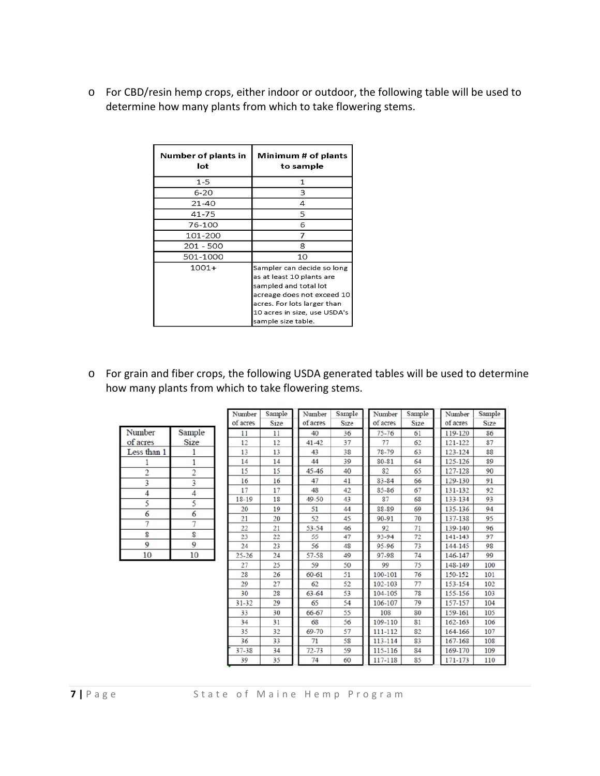o For CBD/resin hemp crops, either indoor or outdoor, the following table will be used to determine how many plants from which to take flowering stems.

| Number of plants in<br>lot | Minimum # of plants<br>to sample                                                                                                                                                                    |  |  |
|----------------------------|-----------------------------------------------------------------------------------------------------------------------------------------------------------------------------------------------------|--|--|
| 1-5                        | 1                                                                                                                                                                                                   |  |  |
| $6 - 20$                   | 3                                                                                                                                                                                                   |  |  |
| $21 - 40$                  | 4                                                                                                                                                                                                   |  |  |
| $41 - 75$                  | 5                                                                                                                                                                                                   |  |  |
| 76-100                     | 6                                                                                                                                                                                                   |  |  |
| 101-200                    | 7                                                                                                                                                                                                   |  |  |
| 201 - 500                  | 8                                                                                                                                                                                                   |  |  |
| 501-1000                   | 10                                                                                                                                                                                                  |  |  |
| $1001+$                    | Sampler can decide so long<br>as at least 10 plants are<br>sampled and total lot<br>acreage does not exceed 10<br>acres. For lots larger than<br>10 acres in size, use USDA's<br>sample size table. |  |  |

o For grain and fiber crops, the following USDA generated tables will be used to determine how many plants from which to take flowering stems.

|             |             | -------<br>of acr |
|-------------|-------------|-------------------|
| Number      | Sample      | 11                |
| of acres    | <b>Size</b> | 12                |
| Less than 1 |             | 13                |
|             |             | 14                |
| 2           |             | 15                |
| 3           |             | 16                |
|             |             | 17                |
| 5           | 5           | $18-1$            |
| 6           | 6           | 20                |
|             |             | 21                |
|             |             | 22                |
| 8           | 8           | 23                |
| 9           | 9           | 24                |
| 10          | 10          | $25 - 2$          |

| Number<br>of acres | Sample<br>Size | Number<br>of acres | Sample<br><b>Size</b> | Number<br>of acres | Sample<br><b>Size</b> | Number<br>of acres | Sample<br>Size |
|--------------------|----------------|--------------------|-----------------------|--------------------|-----------------------|--------------------|----------------|
| 11                 | 11             | 40                 | 36                    | $75 - 76$          | 61                    | 119-120            | 86             |
| 12                 | 12             | $41 - 42$          | 37                    | 77                 | 62                    | 121-122            | 87             |
| 13                 | 13             | 43                 | 38                    | 78-79              | 63                    | 123-124            | 88             |
| 14                 | 14             | 44                 | 39                    | 80-81              | 64                    | 125-126            | 89             |
| 15                 | 15             | $45 - 46$          | 40                    | 82                 | 65                    | 127-128            | 90             |
| 16                 | 16             | 47                 | 41                    | 83-84              | 66                    | 129-130            | 91             |
| 17                 | 17             | 48                 | 42                    | 85-86              | 67                    | 131-132            | 92             |
| 18-19              | 18             | 49-50              | 43                    | 87                 | 68                    | 133-134            | 93             |
| 20                 | 19             | 51                 | 44                    | 88-89              | 69                    | 135-136            | 94             |
| 21                 | 20             | 52                 | 45                    | 90-91              | 70                    | 137-138            | 95             |
| 22                 | 21             | 53-54              | 46                    | 92                 | 71                    | 139-140            | 96             |
| 23                 | 22             | 55                 | 47                    | 93-94              | 72                    | 141-143            | 97             |
| 24                 | 23             | 56                 | 48                    | 95-96              | 73                    | 144-145            | 98             |
| $25 - 26$          | 24             | 57-58              | 49                    | 97-98              | 74                    | 146-147            | 99             |
| 27                 | 25             | 59                 | 50                    | 99                 | 75                    | 148-149            | 100            |
| 28                 | 26             | 60-61              | 51                    | 100-101            | 76                    | 150-152            | 101            |
| 29                 | 27             | 62                 | 52                    | 102-103            | 77                    | 153-154            | 102            |
| 30                 | 28             | $63 - 64$          | 53                    | 104-105            | 78                    | 155-156            | 103            |
| $31 - 32$          | 29             | 65                 | 54                    | 106-107            | 79                    | 157-157            | 104            |
| 33                 | 30             | 66-67              | 55                    | 108                | 80                    | 159-161            | 105            |
| 34                 | 31             | 68                 | 56                    | 109-110            | 81                    | 162-163            | 106            |
| 35                 | 32             | 69-70              | 57                    | 111-112            | 82                    | 164-166            | 107            |
| 36                 | 33             | 71                 | 58                    | 113-114            | 83                    | 167-168            | 108            |
| $37 - 38$          | 34             | $72 - 73$          | 59                    | 115-116            | 84                    | 169-170            | 109            |
| 39                 | 35             | 74                 | 60                    | 117-118            | 85                    | 171-173            | 110            |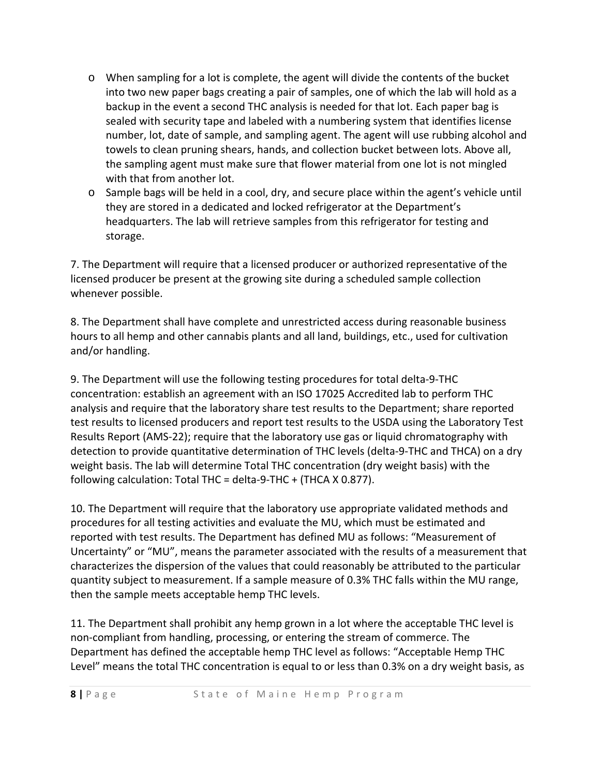- o When sampling for a lot is complete, the agent will divide the contents of the bucket into two new paper bags creating a pair of samples, one of which the lab will hold as a backup in the event a second THC analysis is needed for that lot. Each paper bag is sealed with security tape and labeled with a numbering system that identifies license number, lot, date of sample, and sampling agent. The agent will use rubbing alcohol and towels to clean pruning shears, hands, and collection bucket between lots. Above all, the sampling agent must make sure that flower material from one lot is not mingled with that from another lot.
- o Sample bags will be held in a cool, dry, and secure place within the agent's vehicle until they are stored in a dedicated and locked refrigerator at the Department's headquarters. The lab will retrieve samples from this refrigerator for testing and storage.

7. The Department will require that a licensed producer or authorized representative of the licensed producer be present at the growing site during a scheduled sample collection whenever possible.

8. The Department shall have complete and unrestricted access during reasonable business hours to all hemp and other cannabis plants and all land, buildings, etc., used for cultivation and/or handling.

9. The Department will use the following testing procedures for total delta‐9‐THC concentration: establish an agreement with an ISO 17025 Accredited lab to perform THC analysis and require that the laboratory share test results to the Department; share reported test results to licensed producers and report test results to the USDA using the Laboratory Test Results Report (AMS‐22); require that the laboratory use gas or liquid chromatography with detection to provide quantitative determination of THC levels (delta‐9‐THC and THCA) on a dry weight basis. The lab will determine Total THC concentration (dry weight basis) with the following calculation: Total THC = delta‐9‐THC + (THCA X 0.877).

10. The Department will require that the laboratory use appropriate validated methods and procedures for all testing activities and evaluate the MU, which must be estimated and reported with test results. The Department has defined MU as follows: "Measurement of Uncertainty" or "MU", means the parameter associated with the results of a measurement that characterizes the dispersion of the values that could reasonably be attributed to the particular quantity subject to measurement. If a sample measure of 0.3% THC falls within the MU range, then the sample meets acceptable hemp THC levels.

11. The Department shall prohibit any hemp grown in a lot where the acceptable THC level is non‐compliant from handling, processing, or entering the stream of commerce. The Department has defined the acceptable hemp THC level as follows: "Acceptable Hemp THC Level" means the total THC concentration is equal to or less than 0.3% on a dry weight basis, as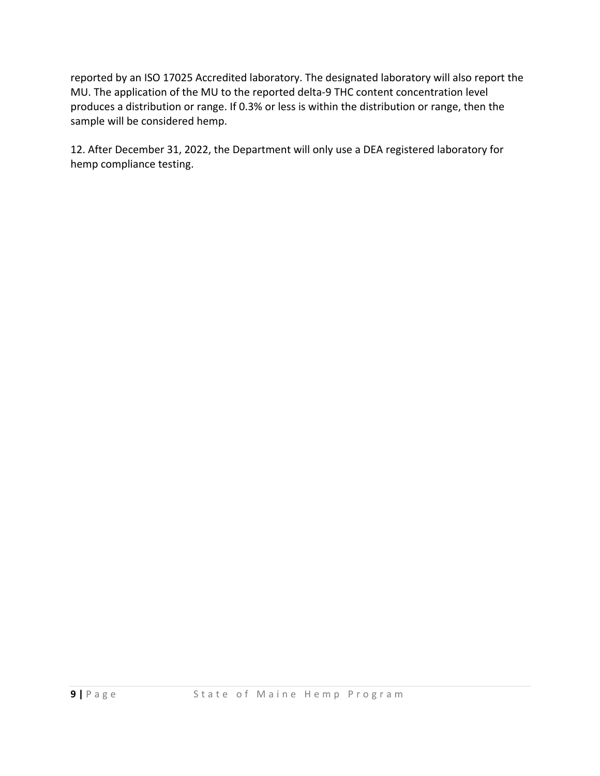reported by an ISO 17025 Accredited laboratory. The designated laboratory will also report the MU. The application of the MU to the reported delta-9 THC content concentration level produces a distribution or range. If 0.3% or less is within the distribution or range, then the sample will be considered hemp.

12. After December 31, 2022, the Department will only use a DEA registered laboratory for hemp compliance testing.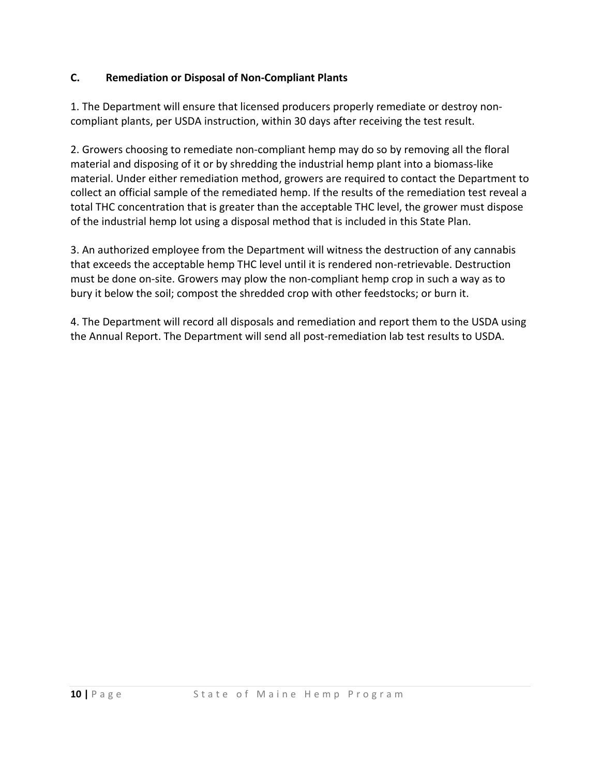#### **C. Remediation or Disposal of Non‐Compliant Plants**

1. The Department will ensure that licensed producers properly remediate or destroy non‐ compliant plants, per USDA instruction, within 30 days after receiving the test result.

2. Growers choosing to remediate non‐compliant hemp may do so by removing all the floral material and disposing of it or by shredding the industrial hemp plant into a biomass‐like material. Under either remediation method, growers are required to contact the Department to collect an official sample of the remediated hemp. If the results of the remediation test reveal a total THC concentration that is greater than the acceptable THC level, the grower must dispose of the industrial hemp lot using a disposal method that is included in this State Plan.

3. An authorized employee from the Department will witness the destruction of any cannabis that exceeds the acceptable hemp THC level until it is rendered non‐retrievable. Destruction must be done on‐site. Growers may plow the non‐compliant hemp crop in such a way as to bury it below the soil; compost the shredded crop with other feedstocks; or burn it.

4. The Department will record all disposals and remediation and report them to the USDA using the Annual Report. The Department will send all post‐remediation lab test results to USDA.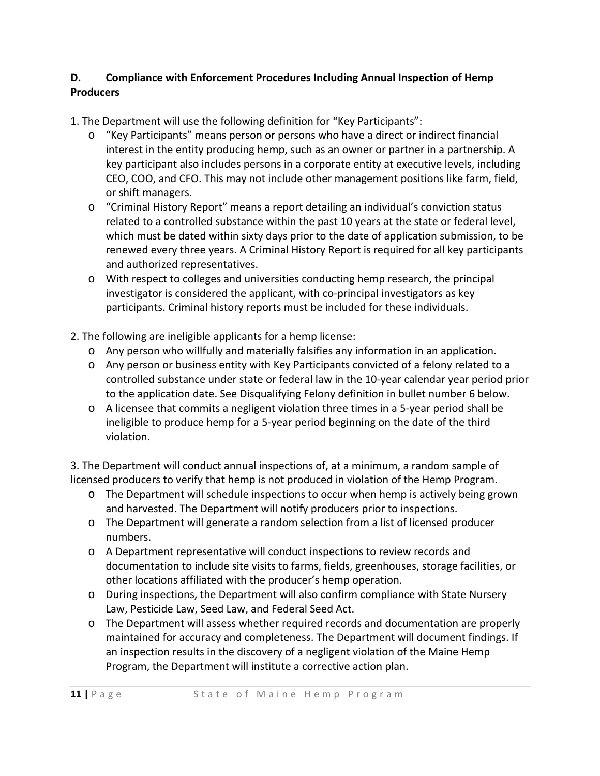## **D. Compliance with Enforcement Procedures Including Annual Inspection of Hemp Producers**

1. The Department will use the following definition for "Key Participants":

- o "Key Participants" means person or persons who have a direct or indirect financial interest in the entity producing hemp, such as an owner or partner in a partnership. A key participant also includes persons in a corporate entity at executive levels, including CEO, COO, and CFO. This may not include other management positions like farm, field, or shift managers.
- o "Criminal History Report" means a report detailing an individual's conviction status related to a controlled substance within the past 10 years at the state or federal level, which must be dated within sixty days prior to the date of application submission, to be renewed every three years. A Criminal History Report is required for all key participants and authorized representatives.
- o With respect to colleges and universities conducting hemp research, the principal investigator is considered the applicant, with co-principal investigators as key participants. Criminal history reports must be included for these individuals.
- 2. The following are ineligible applicants for a hemp license:
	- o Any person who willfully and materially falsifies any information in an application.
	- o Any person or business entity with Key Participants convicted of a felony related to a controlled substance under state or federal law in the 10‐year calendar year period prior to the application date. See Disqualifying Felony definition in bullet number 6 below.
	- o A licensee that commits a negligent violation three times in a 5‐year period shall be ineligible to produce hemp for a 5‐year period beginning on the date of the third violation.

3. The Department will conduct annual inspections of, at a minimum, a random sample of licensed producers to verify that hemp is not produced in violation of the Hemp Program.

- o The Department will schedule inspections to occur when hemp is actively being grown and harvested. The Department will notify producers prior to inspections.
- o The Department will generate a random selection from a list of licensed producer numbers.
- o A Department representative will conduct inspections to review records and documentation to include site visits to farms, fields, greenhouses, storage facilities, or other locations affiliated with the producer's hemp operation.
- o During inspections, the Department will also confirm compliance with State Nursery Law, Pesticide Law, Seed Law, and Federal Seed Act.
- maintained for accuracy and completeness. The Department will document findings. If o The Department will assess whether required records and documentation are properly an inspection results in the discovery of a negligent violation of the Maine Hemp Program, the Department will institute a corrective action plan.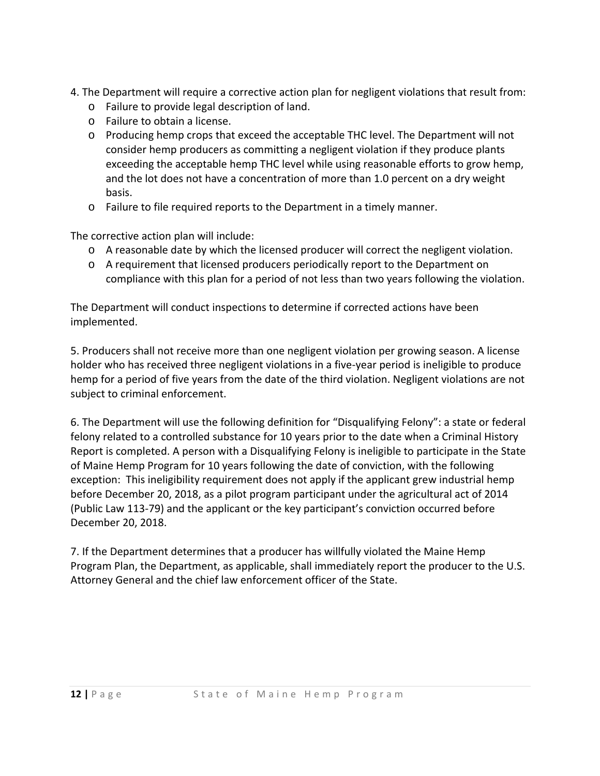- 4. The Department will require a corrective action plan for negligent violations that result from:
	- o Failure to provide legal description of land.
	- o Failure to obtain a license.
	- o Producing hemp crops that exceed the acceptable THC level. The Department will not consider hemp producers as committing a negligent violation if they produce plants exceeding the acceptable hemp THC level while using reasonable efforts to grow hemp, and the lot does not have a concentration of more than 1.0 percent on a dry weight basis.
	- o Failure to file required reports to the Department in a timely manner.

The corrective action plan will include:

- o A reasonable date by which the licensed producer will correct the negligent violation.
- o A requirement that licensed producers periodically report to the Department on compliance with this plan for a period of not less than two years following the violation.

The Department will conduct inspections to determine if corrected actions have been implemented.

5. Producers shall not receive more than one negligent violation per growing season. A license holder who has received three negligent violations in a five-year period is ineligible to produce hemp for a period of five years from the date of the third violation. Negligent violations are not subject to criminal enforcement.

6. The Department will use the following definition for "Disqualifying Felony": a state or federal felony related to a controlled substance for 10 years prior to the date when a Criminal History Report is completed. A person with a Disqualifying Felony is ineligible to participate in the State of Maine Hemp Program for 10 years following the date of conviction, with the following exception: This ineligibility requirement does not apply if the applicant grew industrial hemp before December 20, 2018, as a pilot program participant under the agricultural act of 2014 (Public Law 113‐79) and the applicant or the key participant's conviction occurred before December 20, 2018.

7. If the Department determines that a producer has willfully violated the Maine Hemp Program Plan, the Department, as applicable, shall immediately report the producer to the U.S. Attorney General and the chief law enforcement officer of the State.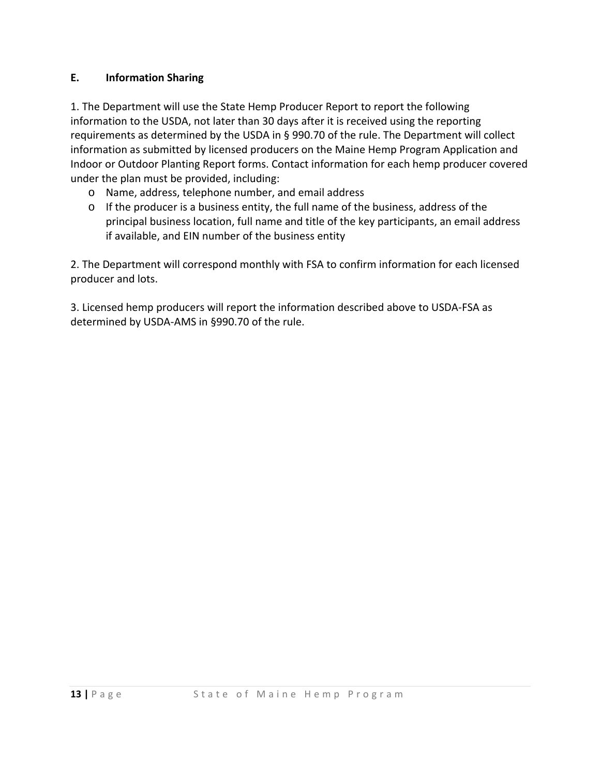#### **E. Information Sharing**

1. The Department will use the State Hemp Producer Report to report the following information to the USDA, not later than 30 days after it is received using the reporting requirements as determined by the USDA in § 990.70 of the rule. The Department will collect information as submitted by licensed producers on the Maine Hemp Program Application and Indoor or Outdoor Planting Report forms. Contact information for each hemp producer covered under the plan must be provided, including:

- o Name, address, telephone number, and email address
- o If the producer is a business entity, the full name of the business, address of the principal business location, full name and title of the key participants, an email address if available, and EIN number of the business entity

2. The Department will correspond monthly with FSA to confirm information for each licensed producer and lots.

3. Licensed hemp producers will report the information described above to USDA‐FSA as determined by USDA‐AMS in §990.70 of the rule.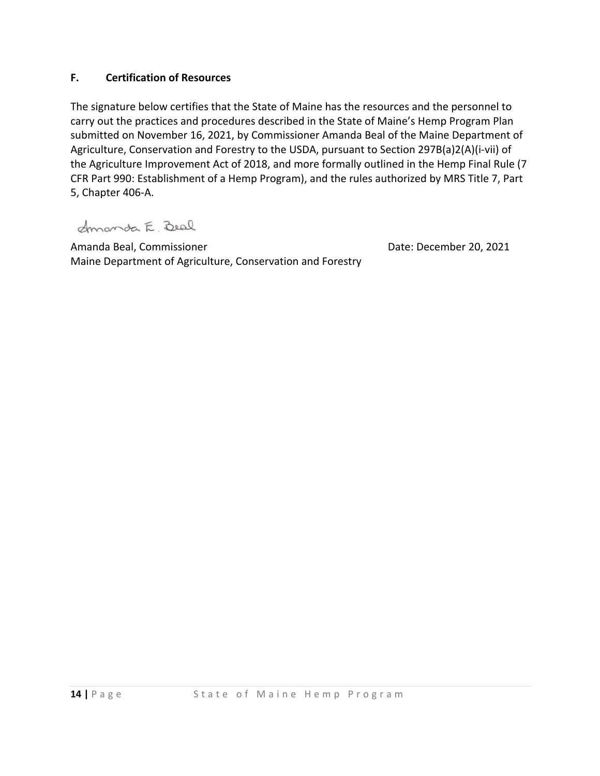#### **F. Certification of Resources**

The signature below certifies that the State of Maine has the resources and the personnel to carry out the practices and procedures described in the State of Maine's Hemp Program Plan submitted on November 16, 2021, by Commissioner Amanda Beal of the Maine Department of Agriculture, Conservation and Forestry to the USDA, pursuant to Section 297B(a)2(A)(i‐vii) of the Agriculture Improvement Act of 2018, and more formally outlined in the Hemp Final Rule (7 CFR Part 990: Establishment of a Hemp Program), and the rules authorized by MRS Title 7, Part 5, Chapter 406‐A.

Amanda E. Beal

Amanda Beal, Commissioner Maine Department of Agriculture, Conservation and Forestry Date: December 20, 2021